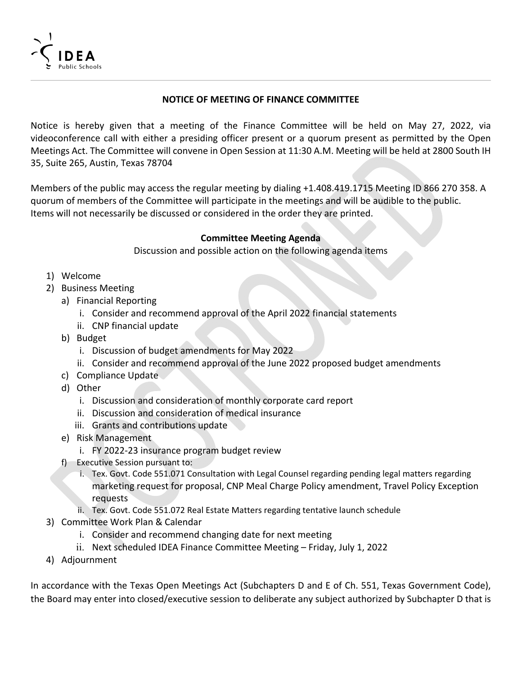

## **NOTICE OF MEETING OF FINANCE COMMITTEE**

Notice is hereby given that a meeting of the Finance Committee will be held on May 27, 2022, via videoconference call with either a presiding officer present or a quorum present as permitted by the Open Meetings Act. The Committee will convene in Open Session at 11:30 A.M. Meeting will be held at 2800 South IH 35, Suite 265, Austin, Texas 78704

Members of the public may access the regular meeting by dialing +1.408.419.1715 Meeting ID 866 270 358. A quorum of members of the Committee will participate in the meetings and will be audible to the public. Items will not necessarily be discussed or considered in the order they are printed.

## **Committee Meeting Agenda**

Discussion and possible action on the following agenda items

- 1) Welcome
- 2) Business Meeting
	- a) Financial Reporting
		- i. Consider and recommend approval of the April 2022 financial statements
		- ii. CNP financial update
	- b) Budget
		- i. Discussion of budget amendments for May 2022
		- ii. Consider and recommend approval of the June 2022 proposed budget amendments
	- c) Compliance Update
	- d) Other
		- i. Discussion and consideration of monthly corporate card report
		- ii. Discussion and consideration of medical insurance
		- iii. Grants and contributions update
	- e) Risk Management
		- i. FY 2022‐23 insurance program budget review
	- f) Executive Session pursuant to:
		- i. Tex. Govt. Code 551.071 Consultation with Legal Counsel regarding pending legal matters regarding marketing request for proposal, CNP Meal Charge Policy amendment, Travel Policy Exception requests
		- ii. Tex. Govt. Code 551.072 Real Estate Matters regarding tentative launch schedule
- 3) Committee Work Plan & Calendar
	- i. Consider and recommend changing date for next meeting
	- ii. Next scheduled IDEA Finance Committee Meeting Friday, July 1, 2022
- 4) Adjournment

In accordance with the Texas Open Meetings Act (Subchapters D and E of Ch. 551, Texas Government Code), the Board may enter into closed/executive session to deliberate any subject authorized by Subchapter D that is